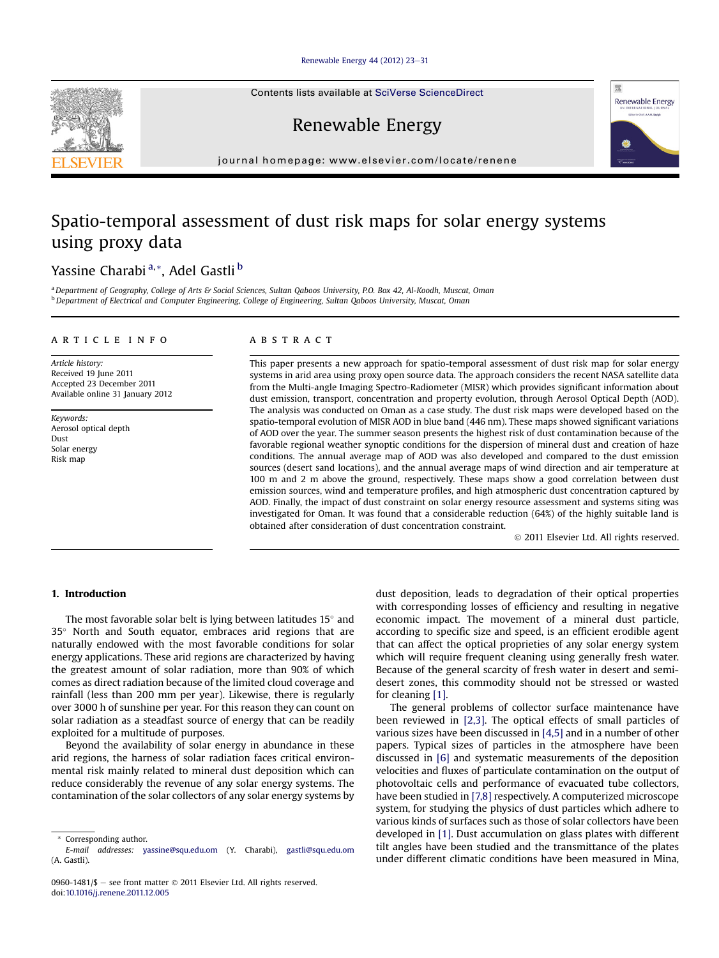#### [Renewable Energy 44 \(2012\) 23](http://dx.doi.org/10.1016/j.renene.2011.12.005)-[31](http://dx.doi.org/10.1016/j.renene.2011.12.005)

Contents lists available at SciVerse ScienceDirect

Renewable Energy

journal homepage: [www.elsevier.com/locate/renene](http://www.elsevier.com/locate/renene)

## Spatio-temporal assessment of dust risk maps for solar energy systems using proxy data

### Yassine Charabi<sup>a,\*</sup>, Adel Gastli<sup>b</sup>

<sup>a</sup> Department of Geography, College of Arts & Social Sciences, Sultan Qaboos University, P.O. Box 42, Al-Koodh, Muscat, Oman <sup>b</sup> Department of Electrical and Computer Engineering, College of Engineering, Sultan Oaboos University, Muscat, Oman

#### article info

Article history: Received 19 June 2011 Accepted 23 December 2011 Available online 31 January 2012

Keywords: Aerosol optical depth Dust Solar energy Risk map

#### ABSTRACT

This paper presents a new approach for spatio-temporal assessment of dust risk map for solar energy systems in arid area using proxy open source data. The approach considers the recent NASA satellite data from the Multi-angle Imaging Spectro-Radiometer (MISR) which provides significant information about dust emission, transport, concentration and property evolution, through Aerosol Optical Depth (AOD). The analysis was conducted on Oman as a case study. The dust risk maps were developed based on the spatio-temporal evolution of MISR AOD in blue band (446 nm). These maps showed significant variations of AOD over the year. The summer season presents the highest risk of dust contamination because of the favorable regional weather synoptic conditions for the dispersion of mineral dust and creation of haze conditions. The annual average map of AOD was also developed and compared to the dust emission sources (desert sand locations), and the annual average maps of wind direction and air temperature at 100 m and 2 m above the ground, respectively. These maps show a good correlation between dust emission sources, wind and temperature profiles, and high atmospheric dust concentration captured by AOD. Finally, the impact of dust constraint on solar energy resource assessment and systems siting was investigated for Oman. It was found that a considerable reduction (64%) of the highly suitable land is obtained after consideration of dust concentration constraint.

2011 Elsevier Ltd. All rights reserved.

#### 1. Introduction

The most favorable solar belt is lying between latitudes  $15^{\circ}$  and 35° North and South equator, embraces arid regions that are naturally endowed with the most favorable conditions for solar energy applications. These arid regions are characterized by having the greatest amount of solar radiation, more than 90% of which comes as direct radiation because of the limited cloud coverage and rainfall (less than 200 mm per year). Likewise, there is regularly over 3000 h of sunshine per year. For this reason they can count on solar radiation as a steadfast source of energy that can be readily exploited for a multitude of purposes.

Beyond the availability of solar energy in abundance in these arid regions, the harness of solar radiation faces critical environmental risk mainly related to mineral dust deposition which can reduce considerably the revenue of any solar energy systems. The contamination of the solar collectors of any solar energy systems by dust deposition, leads to degradation of their optical properties with corresponding losses of efficiency and resulting in negative economic impact. The movement of a mineral dust particle, according to specific size and speed, is an efficient erodible agent that can affect the optical proprieties of any solar energy system which will require frequent cleaning using generally fresh water. Because of the general scarcity of fresh water in desert and semidesert zones, this commodity should not be stressed or wasted for cleaning [1].

The general problems of collector surface maintenance have been reviewed in [2,3]. The optical effects of small particles of various sizes have been discussed in [4,5] and in a number of other papers. Typical sizes of particles in the atmosphere have been discussed in [6] and systematic measurements of the deposition velocities and fluxes of particulate contamination on the output of photovoltaic cells and performance of evacuated tube collectors, have been studied in [7,8] respectively. A computerized microscope system, for studying the physics of dust particles which adhere to various kinds of surfaces such as those of solar collectors have been developed in [1]. Dust accumulation on glass plates with different tilt angles have been studied and the transmittance of the plates under different climatic conditions have been measured in Mina,





Corresponding author.

E-mail addresses: [yassine@squ.edu.om](mailto:yassine@squ.edu.om) (Y. Charabi), [gastli@squ.edu.om](mailto:gastli@squ.edu.om) (A. Gastli).

<sup>0960-1481/\$ -</sup> see front matter  $\odot$  2011 Elsevier Ltd. All rights reserved. doi[:10.1016/j.renene.2011.12.005](http://dx.doi.org/10.1016/j.renene.2011.12.005)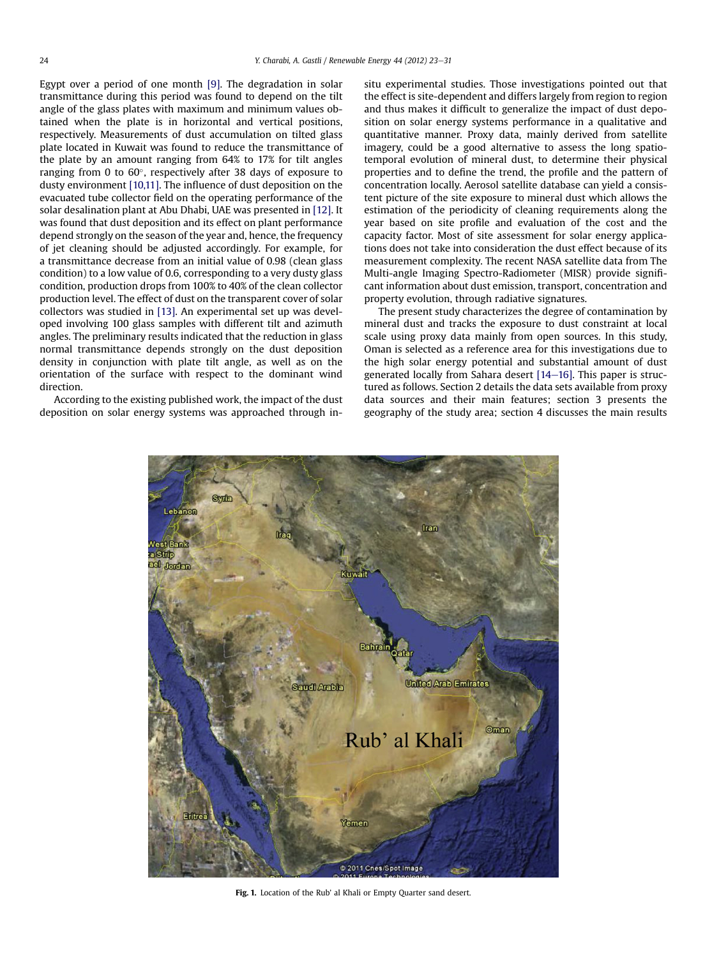Egypt over a period of one month [9]. The degradation in solar transmittance during this period was found to depend on the tilt angle of the glass plates with maximum and minimum values obtained when the plate is in horizontal and vertical positions, respectively. Measurements of dust accumulation on tilted glass plate located in Kuwait was found to reduce the transmittance of the plate by an amount ranging from 64% to 17% for tilt angles ranging from 0 to  $60^\circ$ , respectively after 38 days of exposure to dusty environment [10,11]. The influence of dust deposition on the evacuated tube collector field on the operating performance of the solar desalination plant at Abu Dhabi, UAE was presented in [12]. It was found that dust deposition and its effect on plant performance depend strongly on the season of the year and, hence, the frequency of jet cleaning should be adjusted accordingly. For example, for a transmittance decrease from an initial value of 0.98 (clean glass condition) to a low value of 0.6, corresponding to a very dusty glass condition, production drops from 100% to 40% of the clean collector production level. The effect of dust on the transparent cover of solar collectors was studied in [13]. An experimental set up was developed involving 100 glass samples with different tilt and azimuth angles. The preliminary results indicated that the reduction in glass normal transmittance depends strongly on the dust deposition density in conjunction with plate tilt angle, as well as on the orientation of the surface with respect to the dominant wind direction.

According to the existing published work, the impact of the dust deposition on solar energy systems was approached through insitu experimental studies. Those investigations pointed out that the effect is site-dependent and differs largely from region to region and thus makes it difficult to generalize the impact of dust deposition on solar energy systems performance in a qualitative and quantitative manner. Proxy data, mainly derived from satellite imagery, could be a good alternative to assess the long spatiotemporal evolution of mineral dust, to determine their physical properties and to define the trend, the profile and the pattern of concentration locally. Aerosol satellite database can yield a consistent picture of the site exposure to mineral dust which allows the estimation of the periodicity of cleaning requirements along the year based on site profile and evaluation of the cost and the capacity factor. Most of site assessment for solar energy applications does not take into consideration the dust effect because of its measurement complexity. The recent NASA satellite data from The Multi-angle Imaging Spectro-Radiometer (MISR) provide significant information about dust emission, transport, concentration and property evolution, through radiative signatures.

The present study characterizes the degree of contamination by mineral dust and tracks the exposure to dust constraint at local scale using proxy data mainly from open sources. In this study, Oman is selected as a reference area for this investigations due to the high solar energy potential and substantial amount of dust generated locally from Sahara desert  $[14–16]$ . This paper is structured as follows. Section 2 details the data sets available from proxy data sources and their main features; section 3 presents the geography of the study area; section 4 discusses the main results



Fig. 1. Location of the Rub' al Khali or Empty Quarter sand desert.